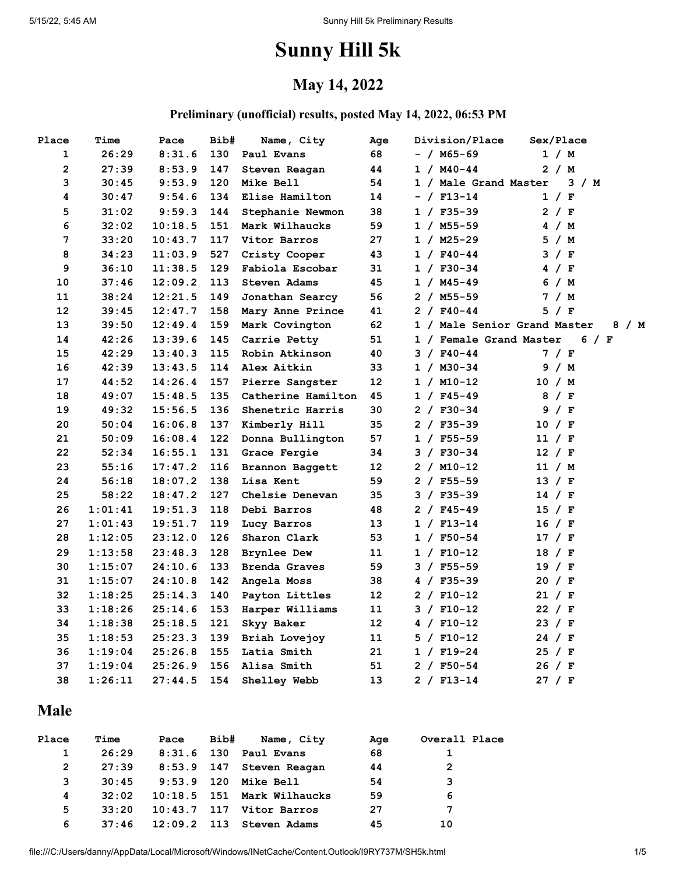# **Sunny Hill 5k**

#### **May 14, 2022**

#### **Preliminary (unofficial) results, posted May 14, 2022, 06:53 PM**

| Place             | Time    | Pace    | Bib# | Name, City           | Aqe | Division/Place               | Sex/Place |
|-------------------|---------|---------|------|----------------------|-----|------------------------------|-----------|
| 1                 | 26:29   | 8:31.6  | 130  | Paul Evans           | 68  | - / M65-69                   | 1 / M     |
| $\overline{2}$    | 27:39   | 8:53.9  | 147  | Steven Reagan        | 44  | $1 / M40 - 44$               | 2 / M     |
| 3                 | 30:45   | 9:53.9  | 120  | Mike Bell            | 54  | 1 / Male Grand Master        | 3 / M     |
| 4                 | 30:47   | 9:54.6  | 134  | Elise Hamilton       | 14  | $- /$ F13-14                 | 1 / F     |
| 5                 | 31:02   | 9:59.3  | 144  | Stephanie Newmon     | 38  | $1 / F35 - 39$               | 2 / F     |
| 6                 | 32:02   | 10:18.5 | 151  | Mark Wilhaucks       | 59  | $1 / M55 - 59$               | 4 / M     |
| 7                 | 33:20   | 10:43.7 | 117  | Vitor Barros         | 27  | $1 / M25 - 29$               | 5 / M     |
| 8                 | 34:23   | 11:03.9 | 527  | Cristy Cooper        | 43  | $1 / F40 - 44$               | 3 / F     |
| 9                 | 36:10   | 11:38.5 | 129  | Fabiola Escobar      | 31  | $1 / F30-34$                 | 4 / F     |
| 10                | 37:46   | 12:09.2 | 113  | Steven Adams         | 45  | $1 / M45 - 49$               | 6 / M     |
| 11                | 38:24   | 12:21.5 | 149  | Jonathan Searcy      | 56  | $2 / M55 - 59$               | 7 / M     |
| $12 \overline{ }$ | 39:45   | 12:47.7 | 158  | Mary Anne Prince     | 41  | $2 / F40-44$                 | 5 / F     |
| 13                | 39:50   | 12:49.4 | 159  | Mark Covington       | 62  | 1 / Male Senior Grand Master | 8 / M     |
| 14                | 42:26   | 13:39.6 | 145  | Carrie Petty         | 51  | 1 / Female Grand Master      | 6 / F     |
| 15                | 42:29   | 13:40.3 | 115  | Robin Atkinson       | 40  | $3 / F40 - 44$               | 7 / F     |
| 16                | 42:39   | 13:43.5 | 114  | Alex Aitkin          | 33  | 1 / M30-34                   | 9 / M     |
| 17                | 44:52   | 14:26.4 | 157  | Pierre Sangster      | 12  | $1 / M10-12$                 | 10 / M    |
| 18                | 49:07   | 15:48.5 | 135  | Catherine Hamilton   | 45  | $1 / F45 - 49$               | 8 / F     |
| 19                | 49:32   | 15:56.5 | 136  | Shenetric Harris     | 30  | $2 / F30-34$                 | 9 / F     |
| 20                | 50:04   | 16:06.8 | 137  | Kimberly Hill        | 35  | $2 / F35 - 39$               | 10 / F    |
| 21                | 50:09   | 16:08.4 | 122  | Donna Bullington     | 57  | $1 / F55 - 59$               | 11 / F    |
| 22                | 52:34   | 16:55.1 | 131  | Grace Fergie         | 34  | $3 / F30-34$                 | 12 / F    |
| 23                | 55:16   | 17:47.2 | 116  | Brannon Baggett      | 12  | $2 / M10-12$                 | 11 / M    |
| 24                | 56:18   | 18:07.2 | 138  | Lisa Kent            | 59  | $2 / F55 - 59$               | 13 / F    |
| 25                | 58:22   | 18:47.2 | 127  | Chelsie Denevan      | 35  | $3 / F35 - 39$               | $14$ / F  |
| 26                | 1:01:41 | 19:51.3 | 118  | Debi Barros          | 48  | $2 / F45 - 49$               | 15 / F    |
| 27                | 1:01:43 | 19:51.7 | 119  | Lucy Barros          | 13  | $1 / F13-14$                 | 16 / F    |
| 28                | 1:12:05 | 23:12.0 | 126  | Sharon Clark         | 53  | $1 / F50-54$                 | 17 / F    |
| 29                | 1:13:58 | 23:48.3 | 128  | <b>Brynlee Dew</b>   | 11  | $1 / F10-12$                 | 18 / F    |
| 30                | 1:15:07 | 24:10.6 | 133  | <b>Brenda Graves</b> | 59  | $3 / F55 - 59$               | 19 / F    |
| 31                | 1:15:07 | 24:10.8 | 142  | Angela Moss          | 38  | 4 / $F35-39$                 | 20 / F    |
| 32                | 1:18:25 | 25:14.3 | 140  | Payton Littles       | 12  | $2 / F10-12$                 | 21 / F    |
| 33                | 1:18:26 | 25:14.6 | 153  | Harper Williams      | 11  | $3 / F10-12$                 | 22 / F    |
| 34                | 1:18:38 | 25:18.5 | 121  | Skyy Baker           | 12  | $4 / F10-12$                 | 23 / F    |
| 35                | 1:18:53 | 25:23.3 | 139  | Briah Lovejoy        | 11  | $5 / F10-12$                 | 24 / F    |
| 36                | 1:19:04 | 25:26.8 | 155  | Latia Smith          | 21  | $1 / F19-24$                 | 25 / F    |
| 37                | 1:19:04 | 25:26.9 | 156  | Alisa Smith          | 51  | $2 / F50-54$                 | 26 / F    |
| 38                | 1:26:11 | 27:44.5 | 154  | Shelley Webb         | 13  | $2 / F13-14$                 | 27 / F    |
|                   |         |         |      |                      |     |                              |           |

#### **Male**

| Place | Time  | Pace          | Bib# | Name, City                 | Age | Overall Place |
|-------|-------|---------------|------|----------------------------|-----|---------------|
| 1     | 26:29 | $8:31.6$ 130  |      | Paul Evans                 | 68  |               |
| 2     | 27:39 | 8:53.9 147    |      | Steven Reagan              | 44  | 2             |
| 3     | 30:45 | $9:53.9$ 120  |      | <b>Mike Bell</b>           | 54  | 3             |
| 4     | 32:02 |               |      | 10:18.5 151 Mark Wilhaucks | 59  | 6             |
| 5     | 33:20 | $10:43.7$ 117 |      | Vitor Barros               | 27  | 7             |
| 6     | 37:46 | $12:09.2$ 113 |      | Steven Adams               | 45  | 10            |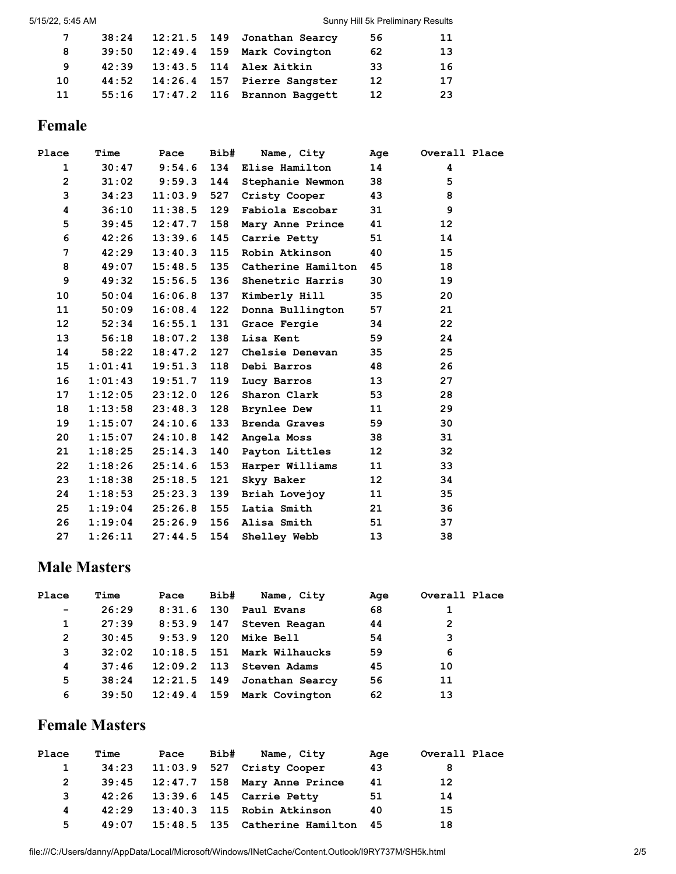| 7  |       |  | 38:24 12:21.5 149 Jonathan Searcy | 56                | 11 |
|----|-------|--|-----------------------------------|-------------------|----|
| 8  | 39:50 |  | 12:49.4 159 Mark Covington        | 62                | 13 |
| -9 | 42:39 |  | 13:43.5 114 Alex Aitkin           | 33                | 16 |
| 10 | 44:52 |  | 14:26.4 157 Pierre Sangster       | 12                | 17 |
| 11 |       |  | 55:16 17:47.2 116 Brannon Baggett | $12 \overline{ }$ | 23 |

# **Female**

| Place           | Time    | Pace                | Bib# | Name, City         | Age             | Overall Place   |
|-----------------|---------|---------------------|------|--------------------|-----------------|-----------------|
| $\mathbf{1}$    |         | $30:47$ $9:54.6$    |      | 134 Elise Hamilton | 14              | 4               |
| $\overline{2}$  | 31:02   | 9:59.3              | 144  | Stephanie Newmon   | 38              | 5               |
| 3               | 34:23   | 11:03.9             | 527  | Cristy Cooper      | 43              | 8               |
| 4               | 36:10   | $11:38.5$ 129       |      | Fabiola Escobar    | 31              | 9               |
| 5               | 39:45   | 12:47.7             | 158  | Mary Anne Prince   | 41              | 12 <sup>2</sup> |
| 6               | 42:26   | 13:39.6             | 145  | Carrie Petty       | 51              | 14              |
| 7               | 42:29   | $13:40.3$ 115       |      | Robin Atkinson     | 40              | 15              |
| 8               | 49:07   | 15:48.5             | 135  | Catherine Hamilton | 45              | 18              |
| 9               | 49:32   | 15:56.5             | 136  | Shenetric Harris   | 30              | 19              |
| 10              | 50:04   | 16:06.8             | 137  | Kimberly Hill      | 35              | 20              |
| 11              | 50:09   | 16:08.4             | 122  | Donna Bullington   | 57              | 21              |
| 12 <sup>2</sup> | 52:34   | 16:55.1             | 131  | Grace Fergie       | 34              | 22              |
| 13              | 56:18   | 18:07.2             | 138  | Lisa Kent          | 59              | 24              |
| 14              | 58:22   | 18:47.2             | 127  | Chelsie Denevan    | 35              | 25              |
| 15              | 1:01:41 | 19:51.3             | 118  | Debi Barros        | 48              | 26              |
| 16              | 1:01:43 | 19:51.7             | 119  | Lucy Barros        | 13 <sup>7</sup> | 27              |
| 17              | 1:12:05 | 23:12.0             | 126  | Sharon Clark       | 53              | 28              |
| 18              |         | $1:13:58$ $23:48.3$ | 128  | <b>Brynlee Dew</b> | 11              | 29              |
| 19              | 1:15:07 | 24:10.6             | 133  | Brenda Graves      | 59              | 30              |
| 20              | 1:15:07 | $24:10.8$ 142       |      | Angela Moss        | 38              | 31              |
| 21              | 1:18:25 | 25:14.3             | 140  | Payton Littles     | 12 <sub>2</sub> | 32              |
| 22              | 1:18:26 | 25:14.6             | 153  | Harper Williams    | 11              | 33              |
| 23              | 1:18:38 | 25:18.5 121         |      | Skyy Baker         | 12              | 34              |
| 24              | 1:18:53 | 25:23.3             | 139  | Briah Lovejoy      | 11              | 35              |
| 25 <sub>1</sub> | 1:19:04 | 25:26.8             | 155  | Latia Smith        | 21              | 36              |
| 26              | 1:19:04 | 25:26.9             | 156  | Alisa Smith        | 51              | 37              |
| 27              | 1:26:11 | 27:44.5             | 154  | Shelley Webb       | 13              | 38              |

#### **Male Masters**

| Place           | Time  | Pace          | Bib# | Name, City                   | Age | Overall Place |
|-----------------|-------|---------------|------|------------------------------|-----|---------------|
| $\qquad \qquad$ | 26:29 | 8:31.6        | 130  | Paul Evans                   | 68  |               |
| 1               | 27:39 | $8:53.9$ 147  |      | Steven Reagan                | 44  | 2             |
| 2               | 30:45 | 9:53.9        | 120  | <b>Mike Bell</b>             | 54  | 3             |
| 3               | 32:02 |               |      | $10:18.5$ 151 Mark Wilhaucks | 59  | 6             |
| 4               | 37:46 | $12:09.2$ 113 |      | Steven Adams                 | 45  | 10            |
| 5               | 38:24 | 12:21.5 149   |      | Jonathan Searcy              | 56  | 11            |
| 6               | 39:50 | 12:49.4 159   |      | Mark Covington               | 62  | 13            |
|                 |       |               |      |                              |     |               |

# **Female Masters**

| Place        | Time  | Pace | Bib# | Name, City                         | Age | Overall Place |
|--------------|-------|------|------|------------------------------------|-----|---------------|
| $\mathbf{1}$ |       |      |      | 34:23 11:03.9 527 Cristy Cooper    | 43  | 8             |
|              |       |      |      | 39:45 12:47.7 158 Mary Anne Prince | 41  | 12            |
| 3            |       |      |      | 42:26 13:39.6 145 Carrie Petty     | 51  | 14            |
| 4            | 42:29 |      |      | 13:40.3 115 Robin Atkinson         | 40  | 15            |
| 5            | 49:07 |      |      | 15:48.5 135 Catherine Hamilton 45  |     | 18            |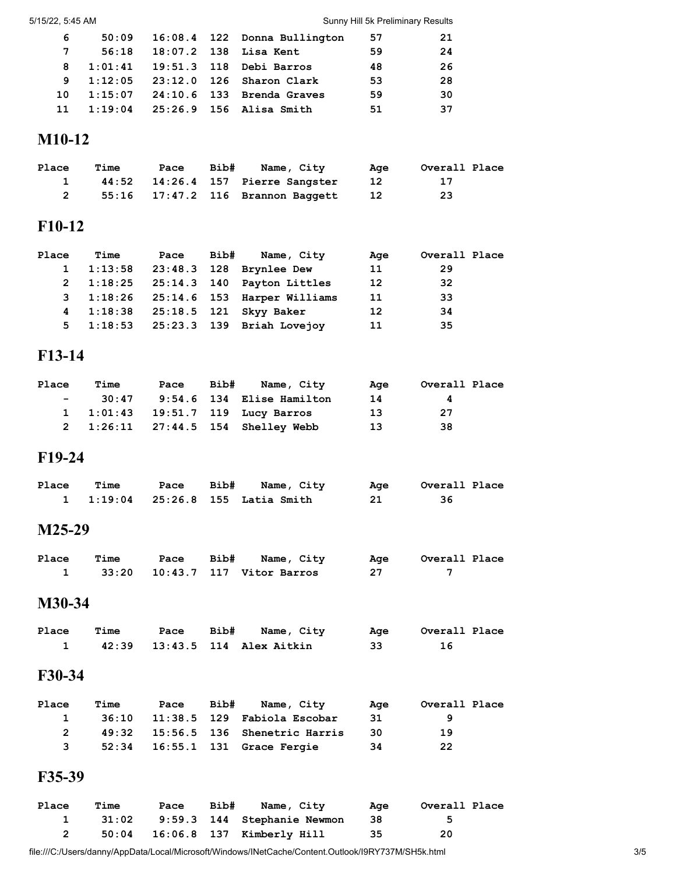#### 5/15/22, 5:45 AM Sunny Hill 5k Preliminary Results

| 6  |       |  | 50:09  16:08.4  122  Donna Bullington  | - 57 | -21 |
|----|-------|--|----------------------------------------|------|-----|
| 7  | 56:18 |  | 18:07.2 138 Lisa Kent                  | 59   | 24  |
| 8  |       |  | $1:01:41$ $19:51.3$ $118$ Debi Barros  | 48   | -26 |
| 9  |       |  | $1:12:05$ $23:12.0$ $126$ Sharon Clark | 53   | -28 |
| 10 |       |  | $1:15:07$ $24:10.6$ 133 Brenda Graves  | 59   | 30  |
| 11 |       |  | $1:19:04$ $25:26.9$ 156 Alisa Smith    | 51   | -37 |

#### **M10-12**

| <b>Place</b> | Time | Pace | Bib# | Name, Citv                        | Aae | Overall Place |
|--------------|------|------|------|-----------------------------------|-----|---------------|
|              |      |      |      | 44:52 14:26.4 157 Pierre Sangster | -12 |               |
|              |      |      |      | 55:16 17:47.2 116 Brannon Baggett | -12 | -23           |

#### **F10-12**

| Place | <b>Time</b> |  | Pace Bib# Name, City                  | Age | Overall Place |
|-------|-------------|--|---------------------------------------|-----|---------------|
|       |             |  | 1 1:13:58 23:48.3 128 Brynlee Dew     | 11  | 29            |
|       |             |  | 2 1:18:25 25:14.3 140 Payton Littles  | 12  | -32           |
|       |             |  | 3 1:18:26 25:14.6 153 Harper Williams | 11  | -33           |
|       |             |  | 4 1:18:38 25:18.5 121 Skyy Baker      | 12  | 34            |
|       |             |  | 5 1:18:53 25:23.3 139 Briah Lovejov   | 11  | -35           |
|       |             |  |                                       |     |               |

#### **F13-14**

| Place | Time     | Pace | Bib# | Name, City                         | Aae | Overall Place |  |
|-------|----------|------|------|------------------------------------|-----|---------------|--|
|       | $-30:47$ |      |      | 9:54.6 134 Elise Hamilton          | 14  | 4             |  |
|       |          |      |      | 1 1:01:43 19:51.7 119 Lucy Barros  | 13  | - 27          |  |
|       |          |      |      | 2 1:26:11 27:44.5 154 Shelley Webb | 13  | -38           |  |

#### **F19-24**

| Place | Time |  | Pace Bib# Name, City              |     | Age Overall Place |
|-------|------|--|-----------------------------------|-----|-------------------|
|       |      |  | 1 1:19:04 25:26.8 155 Latia Smith | -21 |                   |

#### **M25-29**

| <b>Place Time</b> |  | Pace Bib# Name, City                    | Age  | Overall Place |
|-------------------|--|-----------------------------------------|------|---------------|
|                   |  | 33:20    10:43.7    117    Vitor Barros | - 27 |               |

#### **M30-34**

| Place | Time |  | Pace Bib# Name, City          | Aae | Overall Place |
|-------|------|--|-------------------------------|-----|---------------|
|       |      |  | 42:39 13:43.5 114 Alex Aitkin | 33  |               |

#### **F30-34**

| <b>Place</b> | Time | Pace | Bib# | Name, Citv                              | Aae  | Overall Place |
|--------------|------|------|------|-----------------------------------------|------|---------------|
| $\mathbf{1}$ |      |      |      | 36:10   11:38.5   129   Fabiola Escobar | -31  |               |
|              |      |      |      | 49:32 15:56.5 136 Shenetric Harris      | - 30 | 19            |
|              |      |      |      | 52:34    16:55.1    131    Grace Fergie | - 34 | -22           |

#### **F35-39**

| Place | Time | Pace | Bib# | Name, City                               | Aae  | Overall Place |
|-------|------|------|------|------------------------------------------|------|---------------|
|       |      |      |      | 1 31:02 9:59.3 144 Stephanie Newmon      | - 38 | - 5           |
| 2     |      |      |      | 50:04    16:06.8    137    Kimberly Hill | 35   | 20            |

file:///C:/Users/danny/AppData/Local/Microsoft/Windows/INetCache/Content.Outlook/I9RY737M/SH5k.html 3/5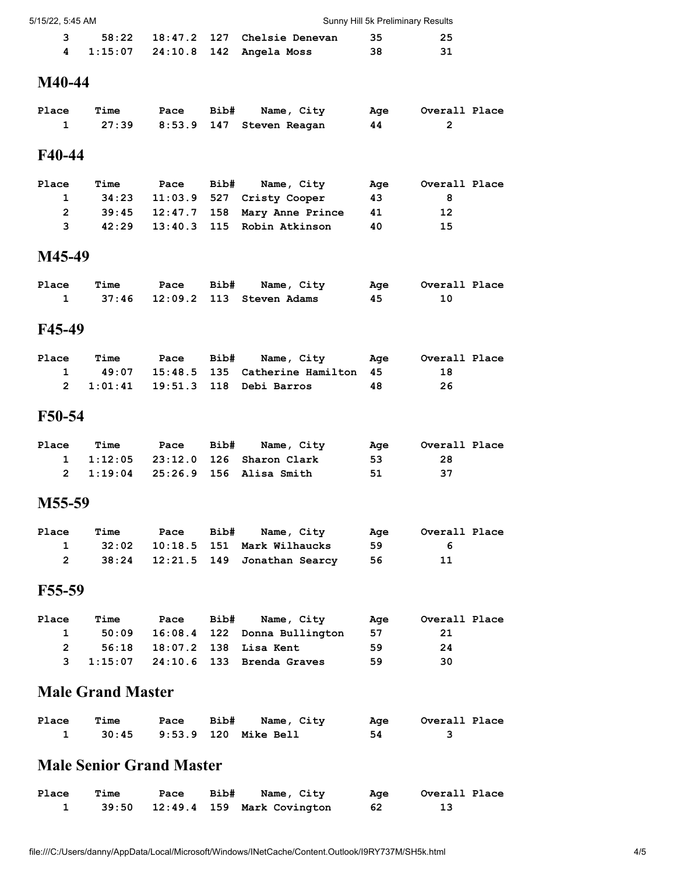| 5/15/22. 5:45 AM |  | Sunny Hill 5k Preliminary Results |                                         |     |     |
|------------------|--|-----------------------------------|-----------------------------------------|-----|-----|
|                  |  |                                   | 58:22   18:47.2   127   Chelsie Denevan | -35 | -25 |
|                  |  |                                   | $1:15:07$ $24:10.8$ $142$ Angela Moss   | 38  | 31  |

## **M40-44**

| Place Time |  | Pace Bib# Name, City             | Age | Overall Place |
|------------|--|----------------------------------|-----|---------------|
|            |  | 1 27:39 8:53.9 147 Steven Reagan | 44  |               |

#### **F40-44**

| Place        | Time | Pace | Bib# | Name, City                         | Age | Overall Place |
|--------------|------|------|------|------------------------------------|-----|---------------|
| $\mathbf{1}$ |      |      |      | 34:23 11:03.9 527 Cristy Cooper    | 43  | 8             |
| 2            |      |      |      | 39:45 12:47.7 158 Mary Anne Prince | 41  | 12            |
| 3            |      |      |      | 42:29 13:40.3 115 Robin Atkinson   | 40  | 15            |

#### **M45-49**

| Place | Time |  | Pace Bib# Name, City                    | Age | Overall Place |
|-------|------|--|-----------------------------------------|-----|---------------|
|       |      |  | 37:46    12:09.2    113    Steven Adams | 45. |               |

#### **F45-49**

| Place | Time | Pace | Bib# Name, City                           | Aae | Overall Place |
|-------|------|------|-------------------------------------------|-----|---------------|
|       |      |      | 1 49:07 15:48.5 135 Catherine Hamilton 45 |     | 18            |
|       |      |      | 2 1:01:41 19:51.3 118 Debi Barros         | 48  | -26           |

#### **F50-54**

| Place | Time | <b>Pace Bib#</b> | Name, City                                             | Aae | Overall Place |
|-------|------|------------------|--------------------------------------------------------|-----|---------------|
|       |      |                  | $1 \quad 1:12:05 \quad 23:12.0 \quad 126$ Sharon Clark | -53 | -28           |
|       |      |                  | 2 1:19:04 25:26.9 156 Alisa Smith                      | -51 | - 37          |

#### **M55-59**

| Place | Time | Pace | Bib# Name, City                    | Aae | Overall Place |
|-------|------|------|------------------------------------|-----|---------------|
|       |      |      | 1 32:02 10:18.5 151 Mark Wilhaucks | -59 | - 6           |
| 2     |      |      | 38:24 12:21.5 149 Jonathan Searcy  | -56 | 11            |

#### **F55-59**

| Place        | Time | Pace | Bib# Name, City                        | Aae | Overall Place |
|--------------|------|------|----------------------------------------|-----|---------------|
| $\mathbf{1}$ |      |      | $50:09$ $16:08.4$ 122 Donna Bullington | -57 | -21           |
| 2            |      |      | 56:18 18:07.2 138 Lisa Kent            | 59  | 24            |
|              |      |      | 3 1:15:07 24:10.6 133 Brenda Graves    | 59  | 30            |

# **Male Grand Master**

| Place | Time |  | Pace Bib# Name, City             |    | Age Overall Place |
|-------|------|--|----------------------------------|----|-------------------|
|       |      |  | 30:45   9:53.9   120   Mike Bell | 54 |                   |

#### **Male Senior Grand Master**

| Place | <b>Time</b> |  | Pace Bib# Name, City                | Age  | Overall Place |
|-------|-------------|--|-------------------------------------|------|---------------|
|       |             |  | 39:50  12:49.4  159  Mark Covington | - 62 |               |